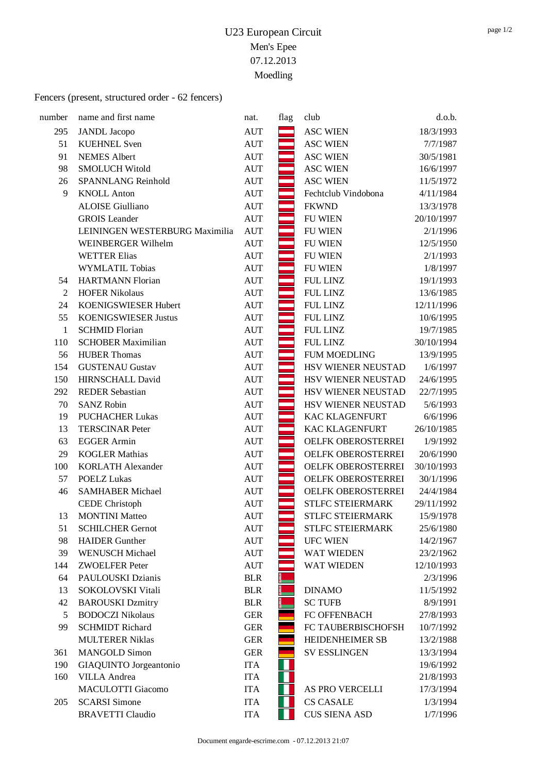## Fencers (present, structured order - 62 fencers)

| number         | name and first name            | nat.       | flag | club                    | d.o.b.     |
|----------------|--------------------------------|------------|------|-------------------------|------------|
| 295            | <b>JANDL</b> Jacopo            | <b>AUT</b> |      | <b>ASC WIEN</b>         | 18/3/1993  |
| 51             | <b>KUEHNEL Sven</b>            | <b>AUT</b> |      | <b>ASC WIEN</b>         | 7/7/1987   |
| 91             | <b>NEMES</b> Albert            | <b>AUT</b> |      | <b>ASC WIEN</b>         | 30/5/1981  |
| 98             | <b>SMOLUCH Witold</b>          | <b>AUT</b> |      | <b>ASC WIEN</b>         | 16/6/1997  |
| 26             | <b>SPANNLANG Reinhold</b>      | <b>AUT</b> |      | <b>ASC WIEN</b>         | 11/5/1972  |
| 9              | <b>KNOLL Anton</b>             | <b>AUT</b> |      | Fechtclub Vindobona     | 4/11/1984  |
|                | <b>ALOISE</b> Giulliano        | <b>AUT</b> |      | <b>FKWND</b>            | 13/3/1978  |
|                | <b>GROIS</b> Leander           | <b>AUT</b> |      | <b>FU WIEN</b>          | 20/10/1997 |
|                | LEININGEN WESTERBURG Maximilia | <b>AUT</b> |      | <b>FU WIEN</b>          | 2/1/1996   |
|                | WEINBERGER Wilhelm             | <b>AUT</b> |      | <b>FU WIEN</b>          | 12/5/1950  |
|                | <b>WETTER Elias</b>            | <b>AUT</b> |      | <b>FU WIEN</b>          | 2/1/1993   |
|                | <b>WYMLATIL Tobias</b>         | <b>AUT</b> |      | <b>FU WIEN</b>          | 1/8/1997   |
| 54             | <b>HARTMANN Florian</b>        | <b>AUT</b> |      | <b>FUL LINZ</b>         | 19/1/1993  |
| $\overline{2}$ | <b>HOFER Nikolaus</b>          | <b>AUT</b> |      | <b>FUL LINZ</b>         | 13/6/1985  |
| 24             | KOENIGSWIESER Hubert           | <b>AUT</b> |      | <b>FUL LINZ</b>         | 12/11/1996 |
| 55             | <b>KOENIGSWIESER Justus</b>    | <b>AUT</b> |      | <b>FUL LINZ</b>         | 10/6/1995  |
| $\mathbf{1}$   | <b>SCHMID Florian</b>          | <b>AUT</b> |      | <b>FUL LINZ</b>         | 19/7/1985  |
| 110            | <b>SCHOBER Maximilian</b>      | <b>AUT</b> |      | <b>FUL LINZ</b>         | 30/10/1994 |
| 56             | <b>HUBER Thomas</b>            | <b>AUT</b> |      | <b>FUM MOEDLING</b>     | 13/9/1995  |
| 154            | <b>GUSTENAU Gustav</b>         | <b>AUT</b> |      | HSV WIENER NEUSTAD      | 1/6/1997   |
| 150            | <b>HIRNSCHALL David</b>        | <b>AUT</b> |      | HSV WIENER NEUSTAD      | 24/6/1995  |
| 292            | <b>REDER Sebastian</b>         | <b>AUT</b> |      | HSV WIENER NEUSTAD      | 22/7/1995  |
| 70             | <b>SANZ Robin</b>              | <b>AUT</b> |      | HSV WIENER NEUSTAD      | 5/6/1993   |
| 19             | <b>PUCHACHER Lukas</b>         | <b>AUT</b> |      | <b>KAC KLAGENFURT</b>   | 6/6/1996   |
| 13             | <b>TERSCINAR Peter</b>         | <b>AUT</b> |      | <b>KAC KLAGENFURT</b>   | 26/10/1985 |
| 63             | <b>EGGER Armin</b>             | <b>AUT</b> |      | OELFK OBEROSTERREI      | 1/9/1992   |
| 29             | <b>KOGLER Mathias</b>          | <b>AUT</b> |      | OELFK OBEROSTERREI      | 20/6/1990  |
| 100            | <b>KORLATH Alexander</b>       | <b>AUT</b> |      | OELFK OBEROSTERREI      | 30/10/1993 |
| 57             | <b>POELZ Lukas</b>             | <b>AUT</b> |      | OELFK OBEROSTERREI      | 30/1/1996  |
| 46             | <b>SAMHABER Michael</b>        | <b>AUT</b> |      | OELFK OBEROSTERREI      | 24/4/1984  |
|                | <b>CEDE</b> Christoph          | <b>AUT</b> |      | <b>STLFC STEIERMARK</b> | 29/11/1992 |
| 13             | <b>MONTINI Matteo</b>          | <b>AUT</b> |      | STLFC STEIERMARK        | 15/9/1978  |
| 51             | <b>SCHILCHER Gernot</b>        | <b>AUT</b> |      | STLFC STEIERMARK        | 25/6/1980  |
| 98             | <b>HAIDER</b> Gunther          | <b>AUT</b> |      | <b>UFC WIEN</b>         | 14/2/1967  |
| 39             | <b>WENUSCH Michael</b>         | <b>AUT</b> |      | WAT WIEDEN              | 23/2/1962  |
| 144            | <b>ZWOELFER Peter</b>          | <b>AUT</b> |      | WAT WIEDEN              | 12/10/1993 |
| 64             | PAULOUSKI Dzianis              | <b>BLR</b> |      |                         | 2/3/1996   |
| 13             | SOKOLOVSKI Vitali              | <b>BLR</b> |      | <b>DINAMO</b>           | 11/5/1992  |
| 42             | <b>BAROUSKI</b> Dzmitry        | <b>BLR</b> |      | <b>SC TUFB</b>          | 8/9/1991   |
| 5              | <b>BODOCZI Nikolaus</b>        | <b>GER</b> |      | FC OFFENBACH            | 27/8/1993  |
| 99             | <b>SCHMIDT Richard</b>         | <b>GER</b> |      | FC TAUBERBISCHOFSH      | 10/7/1992  |
|                | <b>MULTERER Niklas</b>         | <b>GER</b> |      | HEIDENHEIMER SB         | 13/2/1988  |
| 361            | <b>MANGOLD Simon</b>           | <b>GER</b> |      | <b>SV ESSLINGEN</b>     | 13/3/1994  |
| 190            | GIAQUINTO Jorgeantonio         | <b>ITA</b> |      |                         | 19/6/1992  |
| 160            | <b>VILLA</b> Andrea            | <b>ITA</b> |      |                         | 21/8/1993  |
|                | <b>MACULOTTI Giacomo</b>       | <b>ITA</b> |      | AS PRO VERCELLI         | 17/3/1994  |
| 205            | <b>SCARSI Simone</b>           | <b>ITA</b> |      | <b>CS CASALE</b>        | 1/3/1994   |
|                | <b>BRAVETTI Claudio</b>        | <b>ITA</b> |      | <b>CUS SIENA ASD</b>    | 1/7/1996   |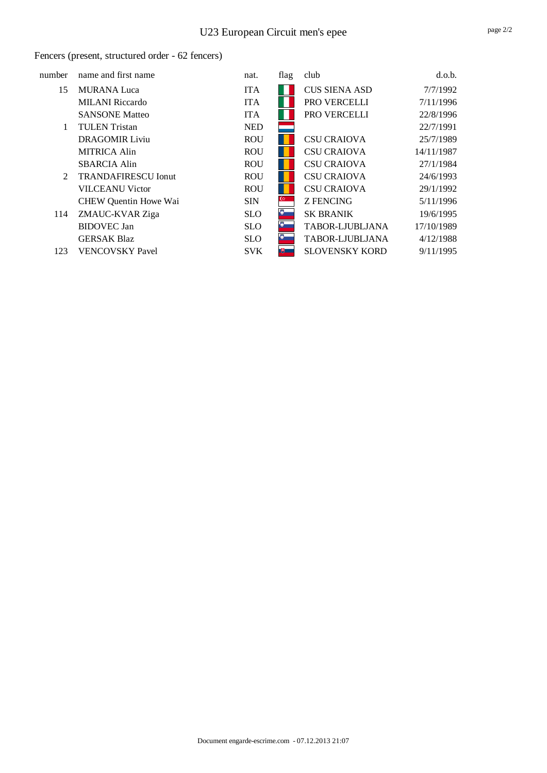### Fencers (present, structured order - 62 fencers)

| number         | name and first name        | nat.       | flag           | club                  | d.o.b.     |
|----------------|----------------------------|------------|----------------|-----------------------|------------|
| 15             | <b>MURANA</b> Luca         | <b>ITA</b> |                | <b>CUS SIENA ASD</b>  | 7/7/1992   |
|                | <b>MILANI</b> Riccardo     | <b>ITA</b> |                | PRO VERCELLI          | 7/11/1996  |
|                | <b>SANSONE Matteo</b>      | <b>ITA</b> |                | PRO VERCELLI          | 22/8/1996  |
| 1              | <b>TULEN</b> Tristan       | <b>NED</b> |                |                       | 22/7/1991  |
|                | <b>DRAGOMIR Liviu</b>      | <b>ROU</b> |                | <b>CSU CRAIOVA</b>    | 25/7/1989  |
|                | <b>MITRICA Alin</b>        | <b>ROU</b> |                | <b>CSU CRAIOVA</b>    | 14/11/1987 |
|                | <b>SBARCIA Alin</b>        | <b>ROU</b> |                | <b>CSU CRAIOVA</b>    | 27/1/1984  |
| $\mathfrak{D}$ | <b>TRANDAFIRESCU Ionut</b> | <b>ROU</b> |                | <b>CSU CRAIOVA</b>    | 24/6/1993  |
|                | <b>VILCEANU Victor</b>     | <b>ROU</b> |                | <b>CSU CRAIOVA</b>    | 29/1/1992  |
|                | CHEW Quentin Howe Wai      | <b>SIN</b> | $\mathbb{G}^*$ | <b>Z FENCING</b>      | 5/11/1996  |
| 114            | ZMAUC-KVAR Ziga            | <b>SLO</b> | ю              | <b>SK BRANIK</b>      | 19/6/1995  |
|                | <b>BIDOVEC</b> Jan         | <b>SLO</b> | Đ,             | TABOR-LJUBLJANA       | 17/10/1989 |
|                | <b>GERSAK Blaz</b>         | <b>SLO</b> | Ю              | TABOR-LJUBLJANA       | 4/12/1988  |
| 123            | <b>VENCOVSKY Pavel</b>     | <b>SVK</b> | - 再 一          | <b>SLOVENSKY KORD</b> | 9/11/1995  |
|                |                            |            |                |                       |            |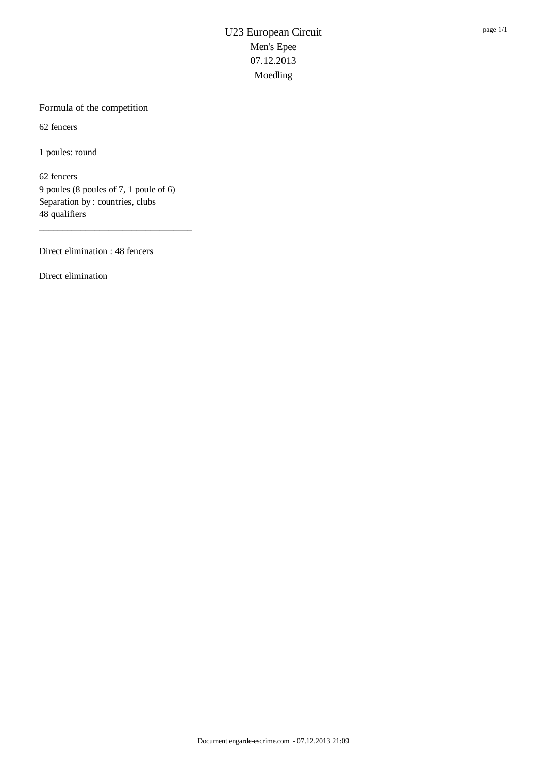### Formula of the competition

62 fencers

1 poules: round

62 fencers 9 poules (8 poules of 7, 1 poule of 6) Separation by : countries, clubs 48 qualifiers

\_\_\_\_\_\_\_\_\_\_\_\_\_\_\_\_\_\_\_\_\_\_\_\_\_\_\_\_\_\_\_\_\_

Direct elimination : 48 fencers

Direct elimination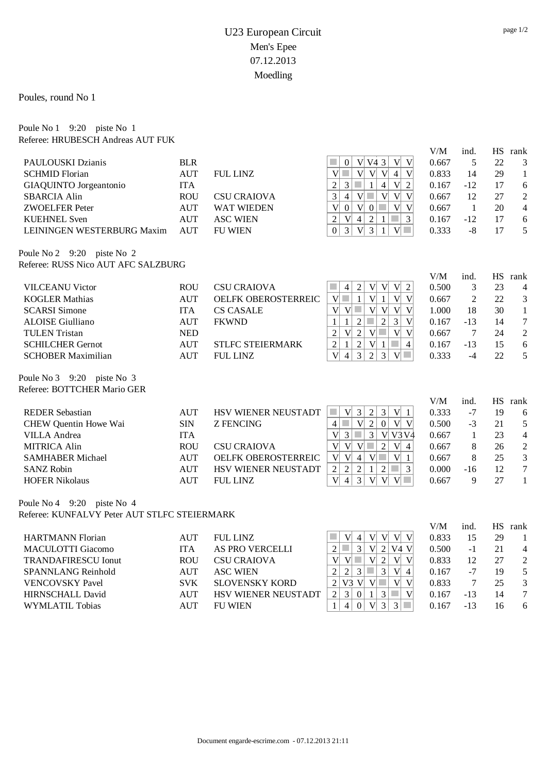Poules, round No 1

#### Poule No 1 9:20 piste No 1 Referee: HRUBESCH Andreas AUT FUK

|                                              |            |                         |                                                                                                                                | V/M         | ind.           |           | HS rank          |
|----------------------------------------------|------------|-------------------------|--------------------------------------------------------------------------------------------------------------------------------|-------------|----------------|-----------|------------------|
| PAULOUSKI Dzianis                            | <b>BLR</b> |                         | V <br>$V\vert V4$ 3<br>$\mathbf V$<br>×<br>$\overline{0}$                                                                      | 0.667       | 5              | 22        | 3                |
| <b>SCHMID Florian</b>                        | <b>AUT</b> | <b>FUL LINZ</b>         | V <sub>l</sub><br>$\mathbf{V}$<br> V <br> V <br>$\overline{4}$<br>$\mathbf{V}$<br>$\sim$                                       | 0.833       | 14             | 29        | $\mathbf{1}$     |
| GIAQUINTO Jorgeantonio                       | <b>ITA</b> |                         | $\sqrt{2}$<br>3 <sup>1</sup><br>$\mathcal{C}^{\mathcal{A}}$<br>$\mathbf{1}$<br>$\overline{4}$<br>$\mathbf V$<br>$\overline{c}$ | 0.167       | $-12$          | 17        | 6                |
| <b>SBARCIA Alin</b>                          | <b>ROU</b> | <b>CSU CRAIOVA</b>      | $V$ $\Box$<br>$\mathbf{V}$<br>$\overline{3}$<br>$\vert 4 \vert$<br>V<br>$\mathbf V$                                            | 0.667       | 12             | 27        | $\overline{2}$   |
| <b>ZWOELFER Peter</b>                        | <b>AUT</b> | <b>WAT WIEDEN</b>       | $\overline{\mathsf{V}}$<br>V 0 <br>V<br>$\overline{\mathbf{V}}$<br> 0 <br>$\mathcal{L}_{\mathcal{A}}$                          | 0.667       | $\mathbf{1}$   | 20        | $\overline{4}$   |
| <b>KUEHNEL Sven</b>                          | <b>AUT</b> | <b>ASC WIEN</b>         | $\mathcal{L}_{\mathcal{A}}$<br>$\mathbf{3}$<br>$\overline{2}$<br>V<br>$\overline{4}$<br>$\overline{2}$<br>$\mathbf{1}$         | 0.167       | -12            | 17        | 6                |
| LEININGEN WESTERBURG Maxim                   | <b>AUT</b> | <b>FU WIEN</b>          | $\overline{0}$<br>$\overline{3}$<br>$\mathbf{V}$<br>3<br>$\mathbf{V}$<br>$\mathcal{L}^{\mathcal{L}}$<br>$\mathbf{1}$           | 0.333       | $-8$           | 17        | 5                |
| Poule No 2 9:20 piste No 2                   |            |                         |                                                                                                                                |             |                |           |                  |
| Referee: RUSS Nico AUT AFC SALZBURG          |            |                         |                                                                                                                                |             |                |           |                  |
|                                              |            |                         |                                                                                                                                | ${\rm V/M}$ | ind.           |           | HS rank          |
| <b>VILCEANU Victor</b>                       | <b>ROU</b> | <b>CSU CRAIOVA</b>      | V<br>$\overline{4}$<br>$\overline{2}$<br>V<br> V <br>$\overline{2}$<br><b>College</b>                                          | 0.500       | $\mathfrak{Z}$ | 23        | 4                |
| <b>KOGLER Mathias</b>                        | <b>AUT</b> | OELFK OBEROSTERREIC     | $\mathbf{V}$<br> V <br>V<br>V<br>$\mathcal{L}^{\mathcal{L}}$<br>$\mathbf{1}$<br>$\mathbf{1}$                                   | 0.667       | $\overline{2}$ | 22        | 3                |
| <b>SCARSI</b> Simone                         | <b>ITA</b> | <b>CS CASALE</b>        | V<br>$\mathbf V$<br>$V$ $\Box$<br> V <br>$\mathbf V$<br> V                                                                     | 1.000       | 18             | 30        | $\mathbf{1}$     |
| <b>ALOISE Giulliano</b>                      | <b>AUT</b> | <b>FKWND</b>            | $\overline{2}$<br>$\overline{3}$<br>$\overline{\mathsf{V}}$<br>$\mathbf{1}$<br>$\overline{2}$<br><b>The State</b><br>1         | 0.167       | $-13$          | 14        | $\boldsymbol{7}$ |
| <b>TULEN Tristan</b>                         | <b>NED</b> |                         | $\sqrt{2}$<br>V<br>$\overline{2}$<br>$V$ $\Box$<br> V <br>V                                                                    | 0.667       | $\tau$         | 24        | $\sqrt{2}$       |
| <b>SCHILCHER Gernot</b>                      | <b>AUT</b> | <b>STLFC STEIERMARK</b> | $\mathcal{L}_{\mathcal{A}}$<br>$\overline{4}$<br>$\overline{2}$<br>$\overline{c}$<br>V<br>$\mathbf{1}$<br>1                    | 0.167       | $-13$          | 15        | 6                |
| <b>SCHOBER Maximilian</b>                    | <b>AUT</b> | <b>FUL LINZ</b>         | $\overline{V}$<br>$\overline{4}$<br>3<br>$\overline{2}$<br>3<br>V                                                              | 0.333       | $-4$           | 22        | 5                |
| Poule No 3 9:20 piste No 3                   |            |                         |                                                                                                                                |             |                |           |                  |
| Referee: BOTTCHER Mario GER                  |            |                         |                                                                                                                                |             |                |           |                  |
|                                              |            |                         |                                                                                                                                | V/M         | ind.           | <b>HS</b> | rank             |
| <b>REDER Sebastian</b>                       | <b>AUT</b> | HSV WIENER NEUSTADT     | $\mathcal{C}^{\mathcal{A}}$<br>V<br>3<br>$\overline{2}$<br>$\vert 3 \vert$<br>V 1<br>$\mathcal{L}^{\mathcal{L}}$               | 0.333       | $-7$           | 19        | 6                |
| CHEW Quentin Howe Wai                        | $\rm{SIN}$ | <b>Z FENCING</b>        | V <sub>l</sub><br>2<br>V V <br> 0 <br>$\overline{4}$                                                                           | 0.500       | $-3$           | 21        | 5                |
| <b>VILLA</b> Andrea                          | <b>ITA</b> |                         | $\vert 3 \vert$<br>$\overline{3}$<br>V V3V4<br>$\overline{V}$<br>$\mathcal{L}_{\mathcal{A}}$                                   | 0.667       | $\mathbf{1}$   | 23        | $\overline{4}$   |
| <b>MITRICA Alin</b>                          | <b>ROU</b> | <b>CSU CRAIOVA</b>      | $\overline{\mathsf{V}}$<br>V <sub>1</sub><br>$V$ $\Box$<br>$\sqrt{2}$<br> V <br>$\overline{4}$                                 | 0.667       | $8\,$          | 26        | $\sqrt{2}$       |
| <b>SAMHABER Michael</b>                      | <b>AUT</b> | OELFK OBEROSTERREIC     | $\overline{\mathsf{V}}$<br> V <br>$\mathbf{V}$<br>$\overline{4}$<br>V<br><b>COL</b><br>$\mathbf{1}$                            | 0.667       | $8\,$          | 25        | 3                |
| <b>SANZ Robin</b>                            | <b>AUT</b> | HSV WIENER NEUSTADT     | $\mathfrak{Z}$<br>$\overline{2}$<br>$\sqrt{2}$<br>$\overline{2}$<br>$\overline{2}$<br>a a<br>1                                 | 0.000       | $-16$          | 12        | $\boldsymbol{7}$ |
| <b>HOFER Nikolaus</b>                        | <b>AUT</b> | <b>FUL LINZ</b>         | $\overline{\mathsf{V}}$<br>3<br>$\overline{4}$<br> V <br>V<br><b>Tara</b><br>V                                                 | 0.667       | 9              | 27        | $\mathbf{1}$     |
| Poule No 4 $9:20$ piste No 4                 |            |                         |                                                                                                                                |             |                |           |                  |
| Referee: KUNFALVY Peter AUT STLFC STEIERMARK |            |                         |                                                                                                                                |             |                |           |                  |
|                                              |            |                         |                                                                                                                                | V/M         | ind.           | <b>HS</b> | rank             |
| <b>HARTMANN Florian</b>                      | <b>AUT</b> | <b>FUL LINZ</b>         | V <sub>l</sub><br>V<br>V<br>$ V $ $ V $<br>$\overline{4}$                                                                      | 0.833       | 15             | 29        | 1                |
| <b>MACULOTTI Giacomo</b>                     | <b>ITA</b> | AS PRO VERCELLI         | $\overline{3}$<br>V <sub>l</sub><br>$\sim$<br>2 V4 V<br>$\overline{2}$                                                         | 0.500       | $-1$           | 21        | $\overline{4}$   |
| <b>TRANDAFIRESCU Ionut</b>                   | <b>ROU</b> | <b>CSU CRAIOVA</b>      | V<br>$V$ $\Box$<br>$\overline{2}$<br>$\overline{V}$<br>V<br>$\overline{\mathsf{V}}$                                            | 0.833       | 12             | 27        | $\sqrt{2}$       |
| SPANNLANG Reinhold                           | <b>AUT</b> | <b>ASC WIEN</b>         | $\mathfrak{Z}$<br>$\overline{V}$<br>$\mathfrak{2}$<br>$\sqrt{2}$<br>$\overline{3}$<br>a s<br>$\overline{4}$                    | 0.167       | $-7$           | 19        | 5                |
| <b>VENCOVSKY Pavel</b>                       | <b>SVK</b> | <b>SLOVENSKY KORD</b>   | V <br>$V3$ V V<br>$\overline{\mathbf{V}}$<br>$\overline{2}$<br><b>College</b>                                                  | 0.833       | $\overline{7}$ | 25        | 3                |
| <b>HIRNSCHALL David</b>                      | <b>AUT</b> | HSV WIENER NEUSTADT     | V<br>$\sqrt{2}$<br>$\mathcal{C}^{\mathcal{A}}$<br>$\vert 3 \vert$<br>$\mathfrak{Z}$<br>$\mathbf{0}$<br>$\mathbf{1}$            | 0.167       | $-13$          | 14        | $\overline{7}$   |
| <b>WYMLATIL Tobias</b>                       | <b>AUT</b> | <b>FU WIEN</b>          | $\overline{3}$<br>$\overline{3}$<br>$\overline{4}$<br> V <br>$\mathcal{L}^{\mathcal{L}}$<br>$\mathbf{1}$<br>$\mathbf{0}$       | 0.167       | $-13$          | 16        | 6                |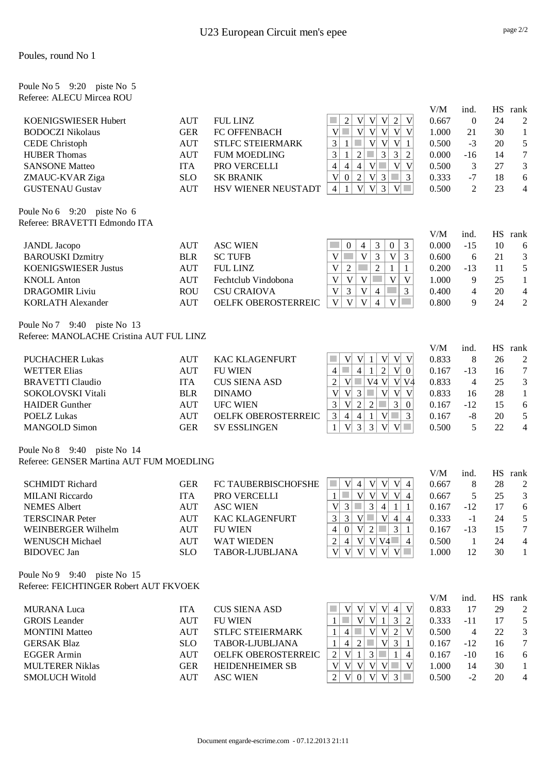#### Poules, round No 1

| Poule No 5 9:20 piste No 5<br>Referee: ALECU Mircea ROU     |                          |                                        |                                                                                                                      |              |                 |                 |                        |
|-------------------------------------------------------------|--------------------------|----------------------------------------|----------------------------------------------------------------------------------------------------------------------|--------------|-----------------|-----------------|------------------------|
|                                                             |                          |                                        |                                                                                                                      | V/M          | ind.            | HS              | rank                   |
| KOENIGSWIESER Hubert                                        | <b>AUT</b>               | <b>FUL LINZ</b>                        | V V 2<br>$\boldsymbol{2}$<br> V <br>V                                                                                | 0.667        | $\mathbf{0}$    | 24              | $\overline{2}$         |
| <b>BODOCZI Nikolaus</b>                                     | <b>GER</b>               | FC OFFENBACH                           | V<br>V<br>V<br>V<br>$\mathbf{V}$<br><b>College</b><br> V                                                             | 1.000        | 21              | 30              | $\mathbf{1}$           |
| <b>CEDE</b> Christoph                                       | <b>AUT</b>               | <b>STLFC STEIERMARK</b>                | $\overline{\mathsf{V}}$<br> V <br>3<br>V<br>$\mathbf{1}$<br>$\mathbf{1}$                                             | 0.500        | $-3$            | 20              | 5                      |
| <b>HUBER Thomas</b>                                         | <b>AUT</b>               | <b>FUM MOEDLING</b>                    | 3<br>$\mathfrak{Z}$<br>$\mathfrak{Z}$<br>$\sqrt{2}$<br>$\mathfrak 2$<br>$\mathcal{L}_{\mathcal{A}}$<br>$\mathbf{1}$  | 0.000        | $-16$           | 14              | $\boldsymbol{7}$       |
| <b>SANSONE Matteo</b>                                       | <b>ITA</b>               | PRO VERCELLI                           | $\overline{4}$<br>$V$ $\Box$<br>V<br>$\overline{4}$<br>$\overline{4}$<br> V                                          | 0.500        | $\mathfrak{Z}$  | 27              | $\mathfrak{Z}$         |
| ZMAUC-KVAR Ziga                                             | SLO                      | <b>SK BRANIK</b>                       | $\sqrt{2}$<br>$\overline{\mathsf{V}}$<br>$V\vert 3$<br>$\mathbf{0}$<br>$\mathcal{L}_{\mathcal{A}}$<br>$\mathfrak{Z}$ | 0.333        | $-7$            | 18              | 6                      |
| <b>GUSTENAU Gustav</b>                                      | <b>AUT</b>               | HSV WIENER NEUSTADT                    | $V $ 3<br>V<br>$V$ $\Box$<br>$\overline{4}$<br>1                                                                     | 0.500        | $\overline{2}$  | 23              | $\overline{4}$         |
| Poule No 6 9:20 piste No 6<br>Referee: BRAVETTI Edmondo ITA |                          |                                        |                                                                                                                      |              |                 |                 |                        |
|                                                             |                          |                                        |                                                                                                                      | V/M          | ind.            |                 | HS rank                |
| <b>JANDL</b> Jacopo                                         | <b>AUT</b>               | <b>ASC WIEN</b>                        | $\mathbf{0}$<br>3<br>3<br>$\overline{0}$<br>4<br>V<br>3<br>$\mathbf V$<br>$\overline{3}$<br>V                        | 0.000        | $-15$           | 10              | 6                      |
| <b>BAROUSKI</b> Dzmitry<br><b>KOENIGSWIESER Justus</b>      | <b>BLR</b><br><b>AUT</b> | <b>SC TUFB</b>                         | $\overline{2}$<br>V                                                                                                  | 0.600        | 6               | 21              | 3                      |
|                                                             |                          | <b>FUL LINZ</b><br>Fechtclub Vindobona | $\overline{2}$<br>1<br>$\mathbf{1}$<br>$\mathbf V$<br>V                                                              | 0.200        | $-13$           | 11              | 5                      |
| <b>KNOLL Anton</b>                                          | <b>AUT</b>               |                                        | $\mathbf V$<br>V<br>V                                                                                                | 1.000        | 9               | 25              | $\mathbf{1}$           |
| <b>DRAGOMIR Liviu</b>                                       | <b>ROU</b>               | <b>CSU CRAIOVA</b>                     | $\mathfrak{Z}$<br>$\overline{3}$<br>$\mathbf V$<br>V<br>$\overline{\mathcal{A}}$<br>$\sim$                           | 0.400        | 4               | 20              | $\overline{4}$         |
| <b>KORLATH Alexander</b>                                    | <b>AUT</b>               | OELFK OBEROSTERREIC                    | V<br>V<br>V<br>$\overline{4}$<br>$\mathbf V$                                                                         | 0.800        | 9               | 24              | $\overline{2}$         |
| Poule No 7 9:40 piste No 13                                 |                          |                                        |                                                                                                                      |              |                 |                 |                        |
| Referee: MANOLACHE Cristina AUT FUL LINZ                    |                          |                                        |                                                                                                                      | V/M          | ind.            |                 | HS rank                |
| <b>PUCHACHER Lukas</b>                                      | <b>AUT</b>               | <b>KAC KLAGENFURT</b>                  | V<br>$\mathbf{V}$<br> V <br>V V<br>1                                                                                 | 0.833        | 8               | 26              | $\overline{c}$         |
| <b>WETTER Elias</b>                                         | <b>AUT</b>               | <b>FU WIEN</b>                         | $\mathcal{L}_{\mathcal{A}}$<br>$\overline{2}$<br>$\overline{4}$<br>$\overline{4}$<br> V <br>$\mathbf{0}$<br>1        | 0.167        | $-13$           | 16              | $\tau$                 |
| <b>BRAVETTI Claudio</b>                                     | <b>ITA</b>               | <b>CUS SIENA ASD</b>                   | $\sqrt{2}$<br>V4 V V<br>  V4<br>V                                                                                    | 0.833        | $\overline{4}$  | 25              | 3                      |
| SOKOLOVSKI Vitali                                           | <b>BLR</b>               | <b>DINAMO</b>                          | $\mathbf V$<br>V<br>$\mathbf{3}$<br>V<br>V<br>V<br>a a                                                               | 0.833        | 16              | 28              | $\mathbf{1}$           |
| <b>HAIDER</b> Gunther                                       | <b>AUT</b>               | <b>UFC WIEN</b>                        | $\mathfrak{Z}$<br>$\overline{3}$<br>$\mathbf{V}$<br>$\sqrt{2}$<br>$\sqrt{2}$<br>$\boldsymbol{0}$                     | 0.167        | $-12$           | 15              | 6                      |
| <b>POELZ Lukas</b>                                          | <b>AUT</b>               | OELFK OBEROSTERREIC                    | $\mathfrak{Z}$<br>$\mathcal{L}_{\mathcal{A}}$<br>3<br>$\overline{4}$<br> V <br>$\overline{4}$<br>1                   | 0.167        | $-8$            | 20              | $\sqrt{5}$             |
| <b>MANGOLD Simon</b>                                        | <b>GER</b>               | <b>SV ESSLINGEN</b>                    | $\overline{3}$<br>$\mathfrak{Z}$<br>$\mathbf{1}$<br>V<br>V<br> V <br>a s                                             | 0.500        | 5               | 22              | $\overline{4}$         |
| Poule No 8 9:40 piste No 14                                 |                          |                                        |                                                                                                                      |              |                 |                 |                        |
| Referee: GENSER Martina AUT FUM MOEDLING                    |                          |                                        |                                                                                                                      |              |                 |                 |                        |
| <b>SCHMIDT Richard</b>                                      | <b>GER</b>               | FC TAUBERBISCHOFSHE                    | $V $ 4 $V $ $V $ $V $ 4<br>$\sim$                                                                                    | V/M<br>0.667 | ind.<br>$\,8\,$ | <b>HS</b><br>28 | rank<br>$\overline{c}$ |
| <b>MILANI</b> Riccardo                                      | <b>ITA</b>               | PRO VERCELLI                           | V V V 4<br><b>College</b><br>V <sub>1</sub><br>$\mathbf{1}$                                                          | 0.667        | $\mathfrak{S}$  | 25              | 3                      |
| <b>NEMES</b> Albert                                         | <b>AUT</b>               | <b>ASC WIEN</b>                        | $\mathfrak{Z}$<br>V<br>$\vert 3 \vert$<br>$\vert 4 \vert$<br>$\mathbf{1}$<br>$\mathbf{1}$                            | 0.167        | $-12$           | 17              | 6                      |
| <b>TERSCINAR Peter</b>                                      | <b>AUT</b>               | <b>KAC KLAGENFURT</b>                  | $\mathfrak{Z}$<br>3<br>$V$ $\Box$<br>V 4 <br>$\overline{4}$                                                          | 0.333        | $-1$            | 24              | $\sqrt{5}$             |
| WEINBERGER Wilhelm                                          | <b>AUT</b>               | <b>FU WIEN</b>                         | $V\vert 2 \vert \Box$<br>$\overline{4}$<br> 0 <br>3<br>$\mathbf{1}$                                                  | 0.167        | $-13$           | 15              | $\tau$                 |
| <b>WENUSCH Michael</b>                                      | <b>AUT</b>               | <b>WAT WIEDEN</b>                      | $\sqrt{2}$<br>V V V 4 $\vert$ 4<br>$\overline{4}$                                                                    | 0.500        | $\mathbf{1}$    | 24              | $\overline{4}$         |
| <b>BIDOVEC</b> Jan                                          | <b>SLO</b>               | TABOR-LJUBLJANA                        | V V V V <br>V<br> V                                                                                                  | 1.000        | 12              | 30              | 1                      |
| Poule No 9 9:40 piste No 15                                 |                          |                                        |                                                                                                                      |              |                 |                 |                        |
| Referee: FEICHTINGER Robert AUT FKVOEK                      |                          |                                        |                                                                                                                      | V/M          | ind.            |                 | HS rank                |
| <b>MURANA</b> Luca                                          | <b>ITA</b>               | <b>CUS SIENA ASD</b>                   | V<br> V <br> V <br>$\mathbf V$<br>V<br>$\overline{4}$                                                                | 0.833        | 17              | 29              | $\overline{2}$         |
| <b>GROIS</b> Leander                                        | <b>AUT</b>               | <b>FU WIEN</b>                         | V <sub>l</sub><br>V <sub>l</sub><br>a a<br>3<br>$\sqrt{2}$<br>$\mathbf{1}$<br>1                                      | 0.333        | $-11$           | 17              | 5                      |
| <b>MONTINI</b> Matteo                                       | <b>AUT</b>               | <b>STLFC STEIERMARK</b>                | V V 2<br>$\overline{4}$<br>V<br>1                                                                                    | 0.500        | $\overline{4}$  | 22              | 3                      |
| <b>GERSAK Blaz</b>                                          | <b>SLO</b>               | TABOR-LJUBLJANA                        | $V $ 3<br>$\mathbf{1}$<br>$\overline{2}$<br>a a<br>$\overline{4}$<br>1                                               | 0.167        | $-12$           | 16              | $\tau$                 |
| <b>EGGER Armin</b>                                          | <b>AUT</b>               | OELFK OBEROSTERREIC                    | V<br>3 <br>$\sqrt{2}$<br>$\vert$ 1<br>$\mathbf{1}$<br>$\overline{4}$                                                 | 0.167        | $-10$           | 16              | 6                      |
| <b>MULTERER Niklas</b>                                      | <b>GER</b>               | HEIDENHEIMER SB                        | V<br>$ V V V \Box$<br>V<br>$\mathbf V$                                                                               | 1.000        | 14              | 30              | $\mathbf{1}$           |
| <b>SMOLUCH Witold</b>                                       | <b>AUT</b>               | <b>ASC WIEN</b>                        | $\overline{2}$<br>V V 3<br>$\mathbb{R}^n$<br>V 0                                                                     | 0.500        | $-2$            | 20              | $\overline{4}$         |
|                                                             |                          |                                        |                                                                                                                      |              |                 |                 |                        |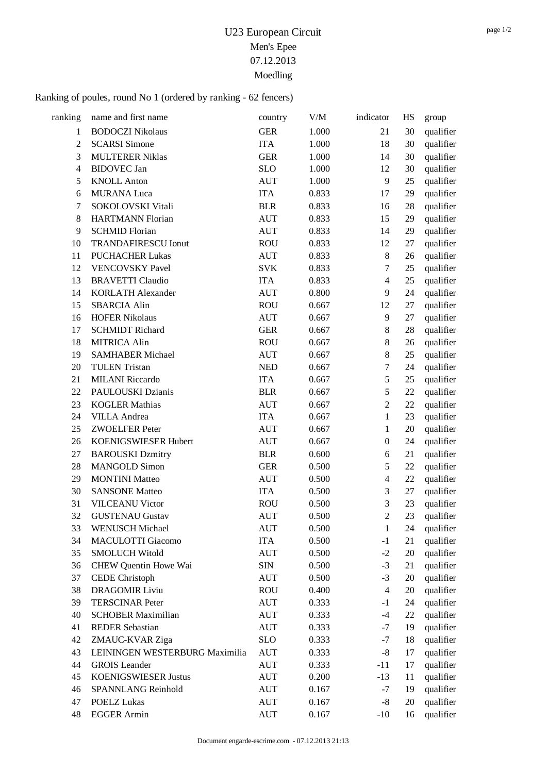## Ranking of poules, round No 1 (ordered by ranking - 62 fencers)

| ranking        | name and first name            | country    | V/M   | indicator        | HS     | group     |
|----------------|--------------------------------|------------|-------|------------------|--------|-----------|
| $\mathbf{1}$   | <b>BODOCZI Nikolaus</b>        | <b>GER</b> | 1.000 | 21               | 30     | qualifier |
| $\overline{2}$ | <b>SCARSI Simone</b>           | <b>ITA</b> | 1.000 | 18               | 30     | qualifier |
| 3              | <b>MULTERER Niklas</b>         | <b>GER</b> | 1.000 | 14               | 30     | qualifier |
| $\overline{4}$ | <b>BIDOVEC</b> Jan             | <b>SLO</b> | 1.000 | 12               | 30     | qualifier |
| 5              | <b>KNOLL Anton</b>             | <b>AUT</b> | 1.000 | 9                | 25     | qualifier |
| 6              | <b>MURANA Luca</b>             | <b>ITA</b> | 0.833 | 17               | 29     | qualifier |
| 7              | SOKOLOVSKI Vitali              | <b>BLR</b> | 0.833 | 16               | 28     | qualifier |
| 8              | <b>HARTMANN Florian</b>        | <b>AUT</b> | 0.833 | 15               | 29     | qualifier |
| 9              | <b>SCHMID Florian</b>          | <b>AUT</b> | 0.833 | 14               | 29     | qualifier |
| 10             | <b>TRANDAFIRESCU Ionut</b>     | <b>ROU</b> | 0.833 | 12               | 27     | qualifier |
| 11             | <b>PUCHACHER Lukas</b>         | <b>AUT</b> | 0.833 | $8\,$            | 26     | qualifier |
| 12             | <b>VENCOVSKY Pavel</b>         | <b>SVK</b> | 0.833 | $\tau$           | 25     | qualifier |
| 13             | <b>BRAVETTI Claudio</b>        | <b>ITA</b> | 0.833 | $\overline{4}$   | 25     | qualifier |
| 14             | <b>KORLATH Alexander</b>       | <b>AUT</b> | 0.800 | 9                | 24     | qualifier |
| 15             | <b>SBARCIA Alin</b>            | <b>ROU</b> | 0.667 | 12               | 27     | qualifier |
| 16             | <b>HOFER Nikolaus</b>          | <b>AUT</b> | 0.667 | 9                | 27     | qualifier |
| 17             | <b>SCHMIDT Richard</b>         | <b>GER</b> | 0.667 | $8\,$            | 28     | qualifier |
| 18             | <b>MITRICA Alin</b>            | <b>ROU</b> | 0.667 | $8\,$            | 26     | qualifier |
| 19             | <b>SAMHABER Michael</b>        | <b>AUT</b> | 0.667 | $8\,$            | 25     | qualifier |
| 20             | <b>TULEN Tristan</b>           | <b>NED</b> | 0.667 | 7                | 24     | qualifier |
| 21             | <b>MILANI</b> Riccardo         | <b>ITA</b> | 0.667 | 5                | 25     | qualifier |
| 22             | PAULOUSKI Dzianis              | <b>BLR</b> | 0.667 | 5                | 22     | qualifier |
| 23             | <b>KOGLER Mathias</b>          | <b>AUT</b> | 0.667 | $\overline{2}$   | 22     | qualifier |
| 24             | <b>VILLA</b> Andrea            | <b>ITA</b> | 0.667 | $\mathbf{1}$     | 23     | qualifier |
| 25             | <b>ZWOELFER Peter</b>          | <b>AUT</b> | 0.667 | $\mathbf{1}$     | 20     | qualifier |
| 26             | KOENIGSWIESER Hubert           | <b>AUT</b> | 0.667 | $\boldsymbol{0}$ | 24     | qualifier |
| 27             | <b>BAROUSKI Dzmitry</b>        | <b>BLR</b> | 0.600 | 6                | 21     | qualifier |
| 28             | <b>MANGOLD Simon</b>           | <b>GER</b> | 0.500 | 5                | 22     | qualifier |
| 29             | <b>MONTINI</b> Matteo          | <b>AUT</b> | 0.500 | $\overline{4}$   | 22     | qualifier |
| 30             | <b>SANSONE Matteo</b>          | <b>ITA</b> | 0.500 | 3                | $27\,$ | qualifier |
| 31             | <b>VILCEANU Victor</b>         | <b>ROU</b> | 0.500 | 3                | 23     | qualifier |
| 32             | <b>GUSTENAU Gustav</b>         | <b>AUT</b> | 0.500 | $\overline{2}$   | 23     | qualifier |
| 33             | <b>WENUSCH Michael</b>         | <b>AUT</b> | 0.500 | $\mathbf{1}$     | 24     | qualifier |
| 34             | <b>MACULOTTI Giacomo</b>       | <b>ITA</b> | 0.500 | $-1$             | 21     | qualifier |
| 35             | <b>SMOLUCH Witold</b>          | <b>AUT</b> | 0.500 | $-2$             | 20     | qualifier |
| 36             | CHEW Quentin Howe Wai          | <b>SIN</b> | 0.500 | $-3$             | 21     | qualifier |
| 37             | <b>CEDE</b> Christoph          | <b>AUT</b> | 0.500 | $-3$             | 20     | qualifier |
| 38             | <b>DRAGOMIR Liviu</b>          | <b>ROU</b> | 0.400 | $\overline{4}$   | 20     | qualifier |
| 39             | <b>TERSCINAR Peter</b>         | <b>AUT</b> | 0.333 | $-1$             | 24     | qualifier |
| 40             | <b>SCHOBER Maximilian</b>      | <b>AUT</b> | 0.333 | $-4$             | 22     | qualifier |
| 41             | <b>REDER Sebastian</b>         | <b>AUT</b> | 0.333 | $-7$             | 19     | qualifier |
| 42             | ZMAUC-KVAR Ziga                | <b>SLO</b> | 0.333 | $-7$             | 18     | qualifier |
| 43             | LEININGEN WESTERBURG Maximilia | <b>AUT</b> | 0.333 | $-8$             | 17     | qualifier |
| 44             | <b>GROIS</b> Leander           | <b>AUT</b> | 0.333 | $-11$            | 17     | qualifier |
| 45             | <b>KOENIGSWIESER Justus</b>    | AUT        | 0.200 | $-13$            | 11     | qualifier |
| 46             | SPANNLANG Reinhold             | <b>AUT</b> | 0.167 | $-7$             | 19     | qualifier |
| 47             | <b>POELZ Lukas</b>             | <b>AUT</b> | 0.167 | $-8$             | 20     | qualifier |
| 48             | <b>EGGER Armin</b>             | <b>AUT</b> | 0.167 | $-10$            | 16     | qualifier |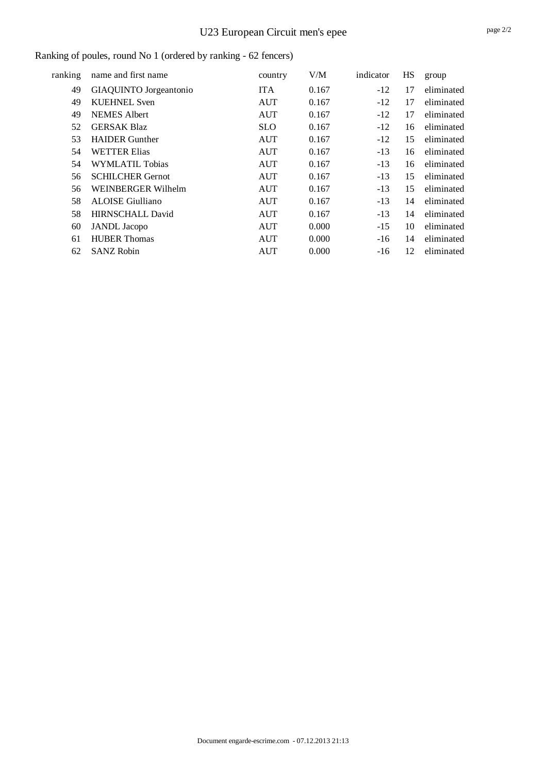# U23 European Circuit men's epee

### Ranking of poules, round No 1 (ordered by ranking - 62 fencers)

| ranking | name and first name     | country    | V/M   | indicator | HS | group      |
|---------|-------------------------|------------|-------|-----------|----|------------|
| 49      | GIAQUINTO Jorgeantonio  | <b>ITA</b> | 0.167 | $-12$     | 17 | eliminated |
| 49      | <b>KUEHNEL Sven</b>     | <b>AUT</b> | 0.167 | $-12$     | 17 | eliminated |
| 49      | <b>NEMES</b> Albert     | <b>AUT</b> | 0.167 | $-12$     | 17 | eliminated |
| 52      | <b>GERSAK Blaz</b>      | <b>SLO</b> | 0.167 | $-12$     | 16 | eliminated |
| 53      | <b>HAIDER</b> Gunther   | <b>AUT</b> | 0.167 | $-12$     | 15 | eliminated |
| 54      | <b>WETTER Elias</b>     | <b>AUT</b> | 0.167 | $-13$     | 16 | eliminated |
| 54      | <b>WYMLATIL Tobias</b>  | <b>AUT</b> | 0.167 | $-13$     | 16 | eliminated |
| 56      | <b>SCHILCHER Gernot</b> | <b>AUT</b> | 0.167 | $-13$     | 15 | eliminated |
| 56      | WEINBERGER Wilhelm      | <b>AUT</b> | 0.167 | $-13$     | 15 | eliminated |
| 58      | <b>ALOISE Giulliano</b> | <b>AUT</b> | 0.167 | $-13$     | 14 | eliminated |
| 58      | <b>HIRNSCHALL David</b> | <b>AUT</b> | 0.167 | $-13$     | 14 | eliminated |
| 60      | <b>JANDL</b> Jacopo     | <b>AUT</b> | 0.000 | $-15$     | 10 | eliminated |
| 61      | <b>HUBER Thomas</b>     | <b>AUT</b> | 0.000 | $-16$     | 14 | eliminated |
| 62      | <b>SANZ Robin</b>       | <b>AUT</b> | 0.000 | $-16$     | 12 | eliminated |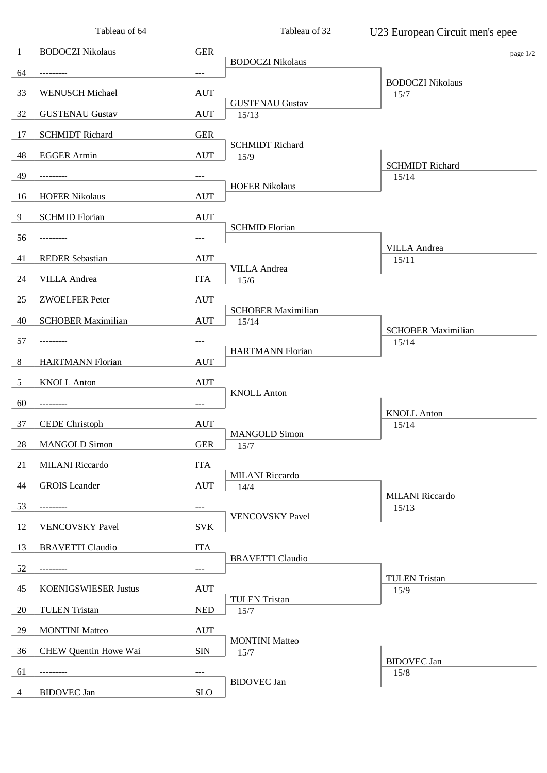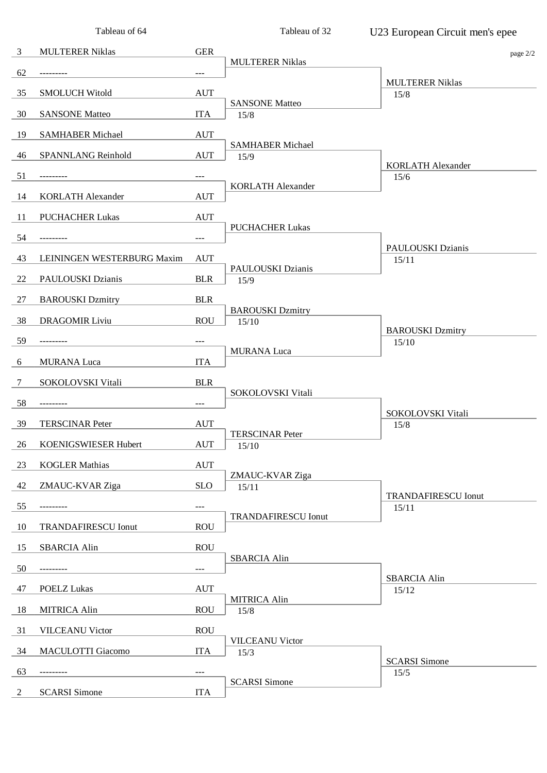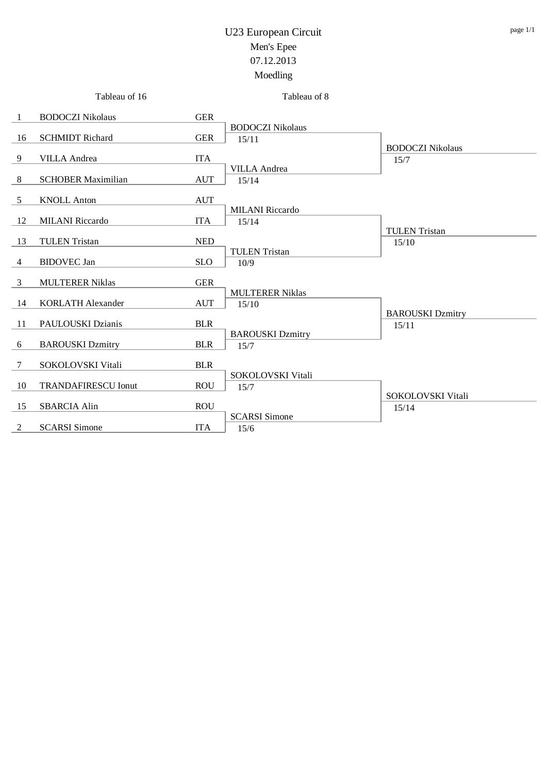|                | Tableau of 16              |            | Tableau of 8                     |                                  |
|----------------|----------------------------|------------|----------------------------------|----------------------------------|
| -1             | <b>BODOCZI Nikolaus</b>    | <b>GER</b> |                                  |                                  |
| 16             | <b>SCHMIDT Richard</b>     | <b>GER</b> | <b>BODOCZI Nikolaus</b><br>15/11 | <b>BODOCZI Nikolaus</b>          |
| 9              | <b>VILLA</b> Andrea        | <b>ITA</b> |                                  | 15/7                             |
| $\,8\,$        | <b>SCHOBER Maximilian</b>  | <b>AUT</b> | <b>VILLA</b> Andrea<br>15/14     |                                  |
| 5              | <b>KNOLL Anton</b>         | <b>AUT</b> |                                  |                                  |
| 12             | <b>MILANI</b> Riccardo     | <b>ITA</b> | <b>MILANI</b> Riccardo<br>15/14  |                                  |
| 13             | <b>TULEN Tristan</b>       | <b>NED</b> |                                  | <b>TULEN</b> Tristan<br>15/10    |
| 4              | <b>BIDOVEC</b> Jan         | <b>SLO</b> | <b>TULEN Tristan</b><br>10/9     |                                  |
| 3              | <b>MULTERER Niklas</b>     | <b>GER</b> |                                  |                                  |
| 14             | <b>KORLATH Alexander</b>   | <b>AUT</b> | <b>MULTERER Niklas</b><br>15/10  |                                  |
| 11             | PAULOUSKI Dzianis          | <b>BLR</b> |                                  | <b>BAROUSKI</b> Dzmitry<br>15/11 |
| 6              | <b>BAROUSKI</b> Dzmitry    | <b>BLR</b> | <b>BAROUSKI</b> Dzmitry<br>15/7  |                                  |
| $\tau$         | SOKOLOVSKI Vitali          | <b>BLR</b> |                                  |                                  |
| 10             | <b>TRANDAFIRESCU Ionut</b> | <b>ROU</b> | SOKOLOVSKI Vitali<br>15/7        | SOKOLOVSKI Vitali                |
| 15             | <b>SBARCIA Alin</b>        | <b>ROU</b> |                                  | 15/14                            |
| $\overline{2}$ | <b>SCARSI</b> Simone       | <b>ITA</b> | <b>SCARSI</b> Simone<br>15/6     |                                  |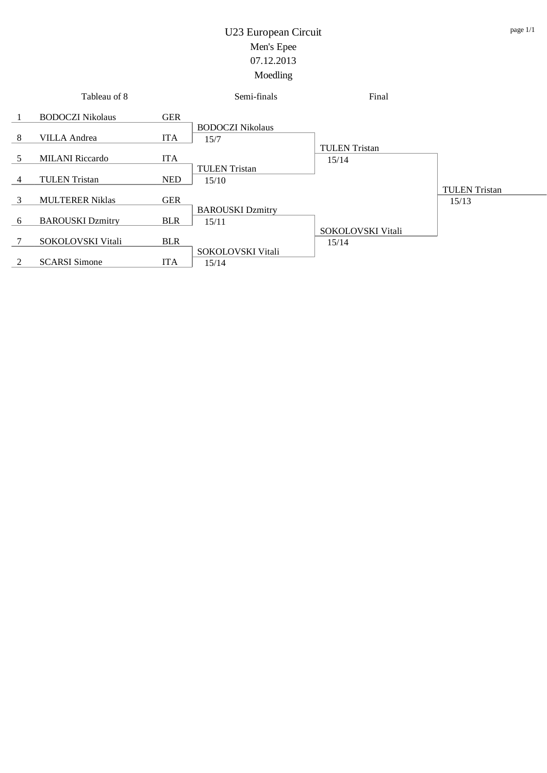|        | Tableau of 8            |            | Semi-finals                      | Final                         |                               |
|--------|-------------------------|------------|----------------------------------|-------------------------------|-------------------------------|
|        | <b>BODOCZI Nikolaus</b> | <b>GER</b> | <b>BODOCZI Nikolaus</b>          |                               |                               |
| 8      | <b>VILLA</b> Andrea     | <b>ITA</b> | 15/7                             |                               |                               |
| 5      | <b>MILANI</b> Riccardo  | <b>ITA</b> |                                  | <b>TULEN</b> Tristan<br>15/14 |                               |
| 4      | <b>TULEN</b> Tristan    | <b>NED</b> | <b>TULEN</b> Tristan<br>15/10    |                               |                               |
| 3      | <b>MULTERER Niklas</b>  | <b>GER</b> |                                  |                               | <b>TULEN</b> Tristan<br>15/13 |
| 6      | <b>BAROUSKI</b> Dzmitry | <b>BLR</b> | <b>BAROUSKI Dzmitry</b><br>15/11 |                               |                               |
| $\tau$ | SOKOLOVSKI Vitali       | <b>BLR</b> |                                  | SOKOLOVSKI Vitali<br>15/14    |                               |
| 2      | <b>SCARSI</b> Simone    | <b>ITA</b> | SOKOLOVSKI Vitali<br>15/14       |                               |                               |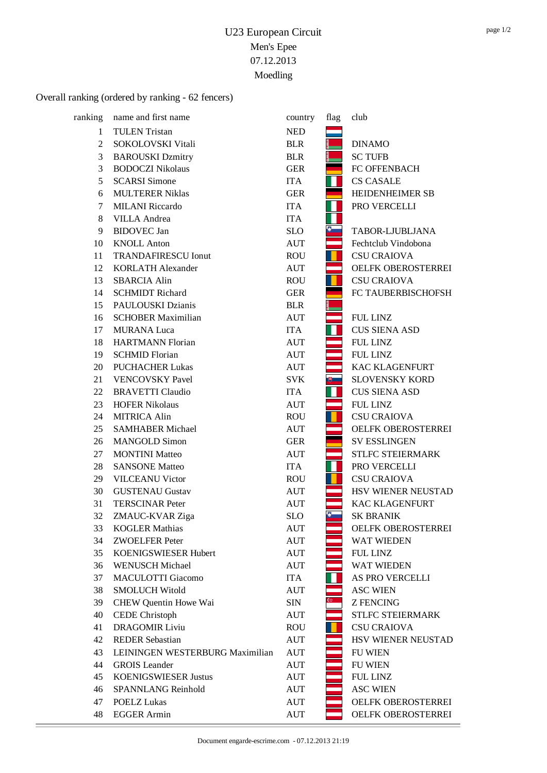## Overall ranking (ordered by ranking - 62 fencers)

| ranking | name and first name             | country    | flag         | club                      |
|---------|---------------------------------|------------|--------------|---------------------------|
| 1       | <b>TULEN</b> Tristan            | <b>NED</b> |              |                           |
| 2       | SOKOLOVSKI Vitali               | <b>BLR</b> |              | <b>DINAMO</b>             |
| 3       | <b>BAROUSKI</b> Dzmitry         | <b>BLR</b> |              | <b>SC TUFB</b>            |
| 3       | <b>BODOCZI Nikolaus</b>         | <b>GER</b> |              | FC OFFENBACH              |
| 5       | <b>SCARSI</b> Simone            | <b>ITA</b> |              | <b>CS CASALE</b>          |
| 6       | <b>MULTERER Niklas</b>          | <b>GER</b> |              | HEIDENHEIMER SB           |
| 7       | <b>MILANI</b> Riccardo          | <b>ITA</b> |              | PRO VERCELLI              |
| 8       | <b>VILLA</b> Andrea             | <b>ITA</b> |              |                           |
| 9       | <b>BIDOVEC</b> Jan              | <b>SLO</b> | $\bullet$    | TABOR-LJUBLJANA           |
| 10      | <b>KNOLL Anton</b>              | <b>AUT</b> |              | Fechtclub Vindobona       |
| 11      | <b>TRANDAFIRESCU Ionut</b>      | <b>ROU</b> |              | <b>CSU CRAIOVA</b>        |
| 12      | <b>KORLATH Alexander</b>        | <b>AUT</b> |              | OELFK OBEROSTERREI        |
| 13      | <b>SBARCIA Alin</b>             | <b>ROU</b> |              | <b>CSU CRAIOVA</b>        |
| 14      | <b>SCHMIDT Richard</b>          | <b>GER</b> |              | FC TAUBERBISCHOFSH        |
| 15      | <b>PAULOUSKI Dzianis</b>        | <b>BLR</b> |              |                           |
| 16      | <b>SCHOBER Maximilian</b>       | <b>AUT</b> |              | FUL LINZ                  |
| 17      | <b>MURANA Luca</b>              | <b>ITA</b> |              | <b>CUS SIENA ASD</b>      |
| 18      | <b>HARTMANN Florian</b>         | <b>AUT</b> |              | <b>FUL LINZ</b>           |
| 19      | <b>SCHMID Florian</b>           | <b>AUT</b> |              | <b>FUL LINZ</b>           |
| 20      | <b>PUCHACHER Lukas</b>          | <b>AUT</b> |              | KAC KLAGENFURT            |
| 21      | <b>VENCOVSKY Pavel</b>          | <b>SVK</b> | $\mathbb{B}$ | SLOVENSKY KORD            |
| 22      | <b>BRAVETTI Claudio</b>         | <b>ITA</b> |              | <b>CUS SIENA ASD</b>      |
| 23      | <b>HOFER Nikolaus</b>           | <b>AUT</b> |              | <b>FUL LINZ</b>           |
| 24      | <b>MITRICA Alin</b>             | <b>ROU</b> |              | <b>CSU CRAIOVA</b>        |
| 25      | <b>SAMHABER Michael</b>         | <b>AUT</b> |              | OELFK OBEROSTERREI        |
| 26      | <b>MANGOLD Simon</b>            | <b>GER</b> |              | <b>SV ESSLINGEN</b>       |
| 27      | <b>MONTINI</b> Matteo           | <b>AUT</b> |              | <b>STLFC STEIERMARK</b>   |
| 28      | <b>SANSONE Matteo</b>           | <b>ITA</b> |              | PRO VERCELLI              |
| 29      | <b>VILCEANU Victor</b>          | <b>ROU</b> |              | <b>CSU CRAIOVA</b>        |
| 30      | <b>GUSTENAU Gustav</b>          | <b>AUT</b> |              | <b>HSV WIENER NEUSTAD</b> |
| 31      | <b>TERSCINAR Peter</b>          | <b>AUT</b> |              | <b>KAC KLAGENFURT</b>     |
| 32      | ZMAUC-KVAR Ziga                 | <b>SLO</b> | $\delta$     | <b>SK BRANIK</b>          |
| 33      | <b>KOGLER Mathias</b>           | AUT        |              | OELFK OBEROSTERREI        |
| 34      | <b>ZWOELFER Peter</b>           | AUT        |              | <b>WAT WIEDEN</b>         |
| 35      | KOENIGSWIESER Hubert            | AUT        |              | <b>FUL LINZ</b>           |
| 36      | <b>WENUSCH Michael</b>          | AUT        |              | <b>WAT WIEDEN</b>         |
| 37      | <b>MACULOTTI Giacomo</b>        | <b>ITA</b> |              | AS PRO VERCELLI           |
| 38      | <b>SMOLUCH Witold</b>           | <b>AUT</b> |              | <b>ASC WIEN</b>           |
| 39      | CHEW Quentin Howe Wai           | SIN        | $\omega$     | <b>Z FENCING</b>          |
| 40      | <b>CEDE</b> Christoph           | AUT        |              | <b>STLFC STEIERMARK</b>   |
| 41      | <b>DRAGOMIR Liviu</b>           | <b>ROU</b> |              | <b>CSU CRAIOVA</b>        |
| 42      | <b>REDER Sebastian</b>          | AUT        |              | <b>HSV WIENER NEUSTAD</b> |
| 43      | LEININGEN WESTERBURG Maximilian | AUT        |              | <b>FU WIEN</b>            |
| 44      | <b>GROIS</b> Leander            | <b>AUT</b> |              | <b>FU WIEN</b>            |
| 45      | <b>KOENIGSWIESER Justus</b>     | AUT        |              | FUL LINZ                  |
| 46      | <b>SPANNLANG Reinhold</b>       | <b>AUT</b> |              | <b>ASC WIEN</b>           |
| 47      | <b>POELZ Lukas</b>              | <b>AUT</b> |              | OELFK OBEROSTERREI        |
| 48      | <b>EGGER Armin</b>              | AUT        |              | OELFK OBEROSTERREI        |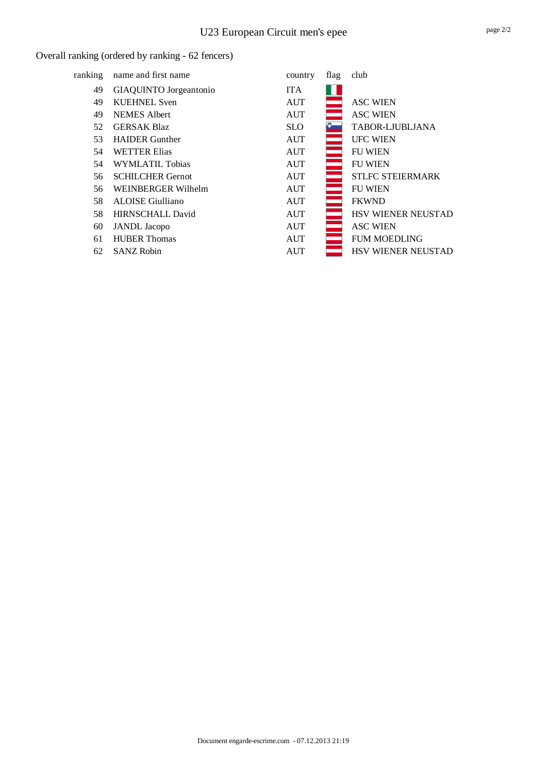#### Overall ranking (ordered by ranking - 62 fencers)

| ranking | name and first name     | country    | flag   | club                      |
|---------|-------------------------|------------|--------|---------------------------|
| 49      | GIAQUINTO Jorgeantonio  | <b>ITA</b> |        |                           |
| 49      | <b>KUEHNEL Sven</b>     | <b>AUT</b> |        | <b>ASC WIEN</b>           |
| 49      | <b>NEMES</b> Albert     | <b>AUT</b> |        | <b>ASC WIEN</b>           |
| 52      | <b>GERSAK Blaz</b>      | <b>SLO</b> |        | TABOR-LJUBLJANA           |
| 53      | <b>HAIDER</b> Gunther   | <b>AUT</b> |        | <b>UFC WIEN</b>           |
| 54      | <b>WETTER Elias</b>     | <b>AUT</b> |        | <b>FU WIEN</b>            |
| 54      | WYMLATIL Tobias         | <b>AUT</b> |        | <b>FU WIEN</b>            |
| 56      | <b>SCHILCHER Gernot</b> | <b>AUT</b> |        | <b>STLFC STEIERMARK</b>   |
| 56      | WEINBERGER Wilhelm      | <b>AUT</b> |        | <b>FU WIEN</b>            |
| 58      | <b>ALOISE</b> Giulliano | <b>AUT</b> |        | <b>FKWND</b>              |
| 58      | <b>HIRNSCHALL David</b> | <b>AUT</b> | $\sim$ | HSV WIENER NEUSTAD        |
| 60      | <b>JANDL</b> Jacopo     | <b>AUT</b> |        | <b>ASC WIEN</b>           |
| 61      | <b>HUBER Thomas</b>     | <b>AUT</b> |        | <b>FUM MOEDLING</b>       |
| 62      | <b>SANZ Robin</b>       | <b>AUT</b> |        | <b>HSV WIENER NEUSTAD</b> |